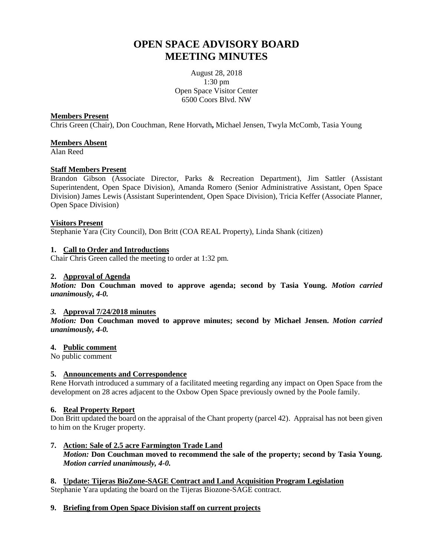# **OPEN SPACE ADVISORY BOARD MEETING MINUTES**

August 28, 2018 1:30 pm Open Space Visitor Center 6500 Coors Blvd. NW

## **Members Present**

Chris Green (Chair), Don Couchman, Rene Horvath**,** Michael Jensen, Twyla McComb, Tasia Young

#### **Members Absent**

Alan Reed

# **Staff Members Present**

Brandon Gibson (Associate Director, Parks & Recreation Department), Jim Sattler (Assistant Superintendent, Open Space Division), Amanda Romero (Senior Administrative Assistant, Open Space Division) James Lewis (Assistant Superintendent, Open Space Division), Tricia Keffer (Associate Planner, Open Space Division)

# **Visitors Present**

Stephanie Yara (City Council), Don Britt (COA REAL Property), Linda Shank (citizen)

#### **1. Call to Order and Introductions**

Chair Chris Green called the meeting to order at 1:32 pm.

#### **2. Approval of Agenda**

*Motion:* **Don Couchman moved to approve agenda; second by Tasia Young.** *Motion carried unanimously, 4-0.*

#### *3.* **Approval 7/24/2018 minutes**

*Motion:* **Don Couchman moved to approve minutes; second by Michael Jensen.** *Motion carried unanimously, 4-0.*

## **4. Public comment**

No public comment

#### **5. Announcements and Correspondence**

Rene Horvath introduced a summary of a facilitated meeting regarding any impact on Open Space from the development on 28 acres adjacent to the Oxbow Open Space previously owned by the Poole family.

# **6. Real Property Report**

Don Britt updated the board on the appraisal of the Chant property (parcel 42). Appraisal has not been given to him on the Kruger property.

#### **7. Action: Sale of 2.5 acre Farmington Trade Land** *Motion:* **Don Couchman moved to recommend the sale of the property; second by Tasia Young.**  *Motion carried unanimously, 4-0.*

**8. Update: Tijeras BioZone-SAGE Contract and Land Acquisition Program Legislation** Stephanie Yara updating the board on the Tijeras Biozone-SAGE contract.

# **9. Briefing from Open Space Division staff on current projects**